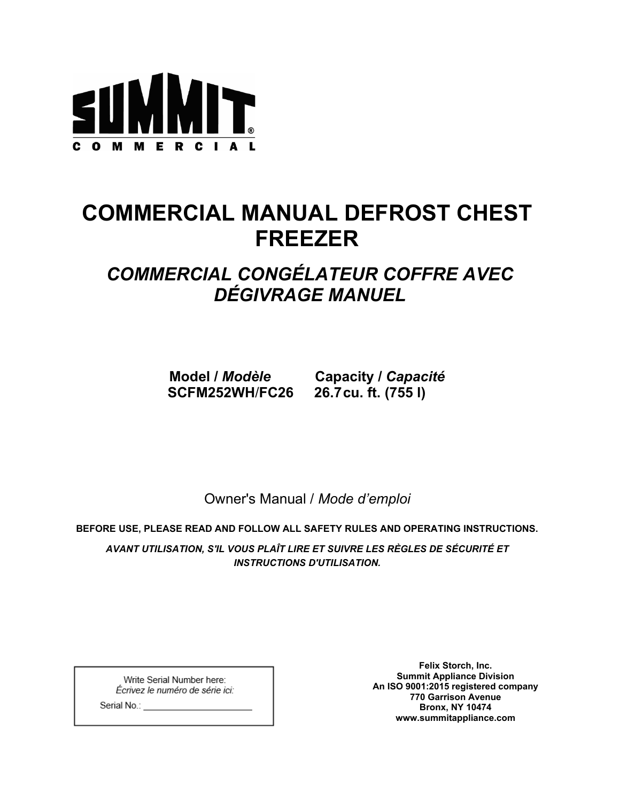

# **COMMERCIAL MANUAL DEFROST CHEST FREEZER**

# *COMMERCIAL CONGÉLATEUR COFFRE AVEC DÉGIVRAGE MANUEL*

**SCFM252WH**/**FC26 26.7cu. ft. (755 l)**

**Model /** *Modèle* **Capacity /** *Capacité*

Owner's Manual / *Mode d'emploi*

**BEFORE USE, PLEASE READ AND FOLLOW ALL SAFETY RULES AND OPERATING INSTRUCTIONS.**

*AVANT UTILISATION, S'IL VOUS PLAÎT LIRE ET SUIVRE LES RÈGLES DE SÉCURITÉ ET INSTRUCTIONS D'UTILISATION.*

Write Serial Number here: Écrivez le numéro de série ici:

**Felix Storch, Inc. Summit Appliance Division An ISO 9001:2015 registered company 770 Garrison Avenue Bronx, NY 10474 www.summitappliance.com**

Serial No.: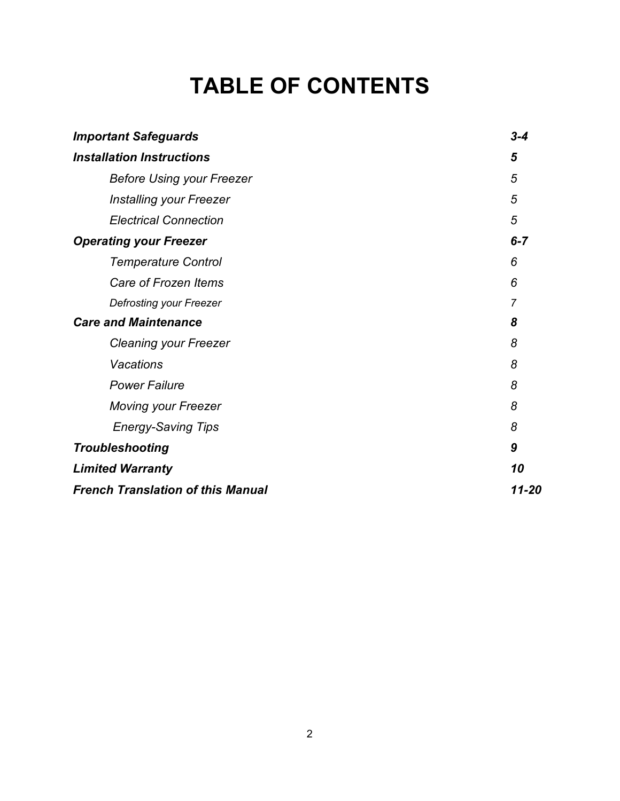# **TABLE OF CONTENTS**

| <b>Important Safeguards</b>              | $3 - 4$ |
|------------------------------------------|---------|
| <b>Installation Instructions</b>         |         |
| <b>Before Using your Freezer</b>         | 5       |
| <b>Installing your Freezer</b>           | 5       |
| <b>Electrical Connection</b>             | 5       |
| <b>Operating your Freezer</b>            | $6 - 7$ |
| <b>Temperature Control</b>               | 6       |
| Care of Frozen Items                     | 6       |
| <b>Defrosting your Freezer</b>           | 7       |
| <b>Care and Maintenance</b>              | 8       |
| <b>Cleaning your Freezer</b>             | 8       |
| <b>Vacations</b>                         | 8       |
| <b>Power Failure</b>                     | 8       |
| <b>Moving your Freezer</b>               | 8       |
| <b>Energy-Saving Tips</b>                | 8       |
| <b>Troubleshooting</b>                   | 9       |
| <b>Limited Warranty</b>                  | 10      |
| <b>French Translation of this Manual</b> | 11-20   |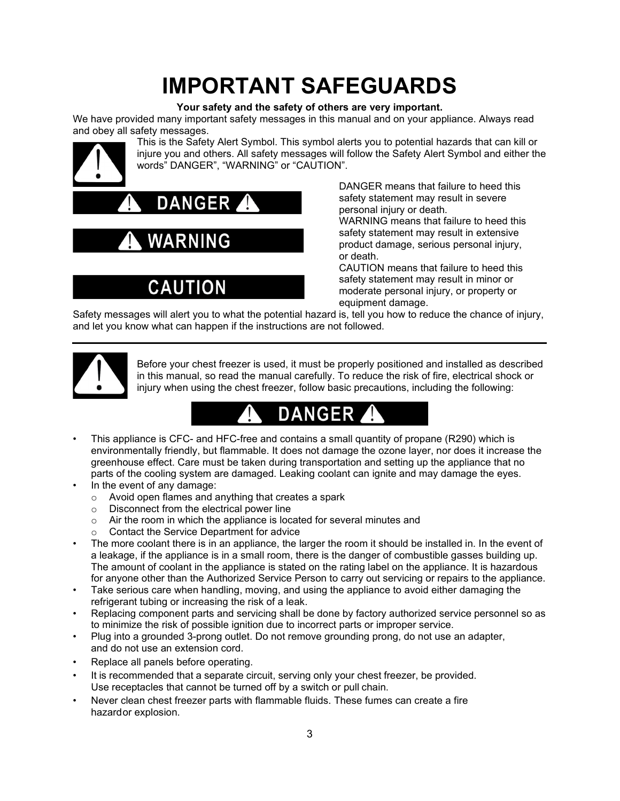# **IMPORTANT SAFEGUARDS**

#### **Your safety and the safety of others are very important.**

We have provided many important safety messages in this manual and on your appliance. Always read and obey all safety messages.



This is the Safety Alert Symbol. This symbol alerts you to potential hazards that can kill or injure you and others. All safety messages will follow the Safety Alert Symbol and either the words" DANGER", "WARNING" or "CAUTION".



# NING

# **CAUTION**

DANGER means that failure to heed this safety statement may result in severe personal injury or death. WARNING means that failure to heed this safety statement may result in extensive

product damage, serious personal injury, or death.

CAUTION means that failure to heed this safety statement may result in minor or moderate personal injury, or property or equipment damage.

Safety messages will alert you to what the potential hazard is, tell you how to reduce the chance of injury, and let you know what can happen if the instructions are not followed.



Before your chest freezer is used, it must be properly positioned and installed as described in this manual, so read the manual carefully. To reduce the risk of fire, electrical shock or injury when using the chest freezer, follow basic precautions, including the following:

- This appliance is CFC- and HFC-free and contains a small quantity of propane (R290) which is environmentally friendly, but flammable. It does not damage the ozone layer, nor does it increase the greenhouse effect. Care must be taken during transportation and setting up the appliance that no parts of the cooling system are damaged. Leaking coolant can ignite and may damage the eyes.
- In the event of any damage:
	- o Avoid open flames and anything that creates a spark
	- o Disconnect from the electrical power line
	- $\circ$  Air the room in which the appliance is located for several minutes and  $\circ$  Contact the Service Department for advice
	- Contact the Service Department for advice
- The more coolant there is in an appliance, the larger the room it should be installed in. In the event of a leakage, if the appliance is in a small room, there is the danger of combustible gasses building up. The amount of coolant in the appliance is stated on the rating label on the appliance. It is hazardous for anyone other than the Authorized Service Person to carry out servicing or repairs to the appliance.
- Take serious care when handling, moving, and using the appliance to avoid either damaging the refrigerant tubing or increasing the risk of a leak.
- Replacing component parts and servicing shall be done by factory authorized service personnel so as to minimize the risk of possible ignition due to incorrect parts or improper service.
- Plug into a grounded 3-prong outlet. Do not remove grounding prong, do not use an adapter, and do not use an extension cord.
- Replace all panels before operating.
- It is recommended that a separate circuit, serving only your chest freezer, be provided. Use receptacles that cannot be turned off by a switch or pull chain.
- Never clean chest freezer parts with flammable fluids. These fumes can create a fire hazardor explosion.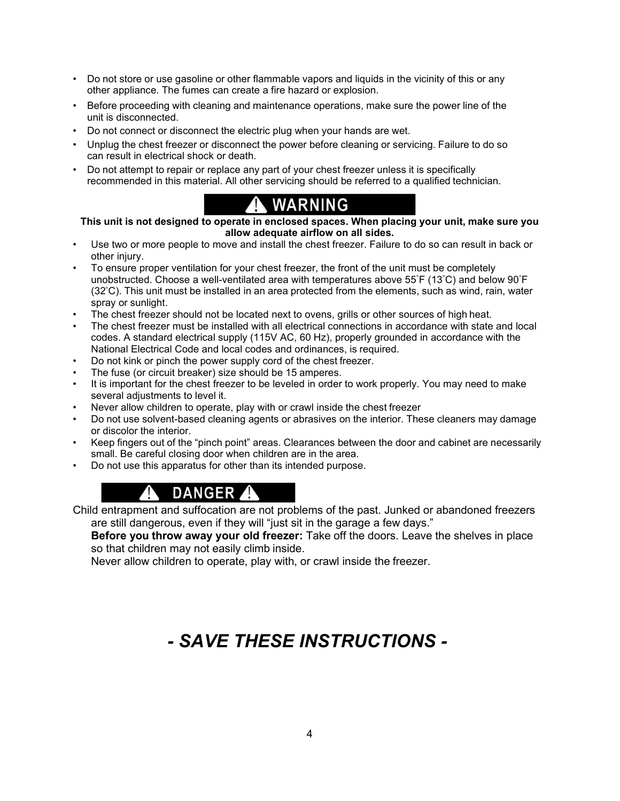- Do not store or use gasoline or other flammable vapors and liquids in the vicinity of this or any other appliance. The fumes can create a fire hazard or explosion.
- Before proceeding with cleaning and maintenance operations, make sure the power line of the unit is disconnected.
- Do not connect or disconnect the electric plug when your hands are wet.
- Unplug the chest freezer or disconnect the power before cleaning or servicing. Failure to do so can result in electrical shock or death.
- Do not attempt to repair or replace any part of your chest freezer unless it is specifically recommended in this material. All other servicing should be referred to a qualified technician.

## **WARNING**

**This unit is not designed to operate in enclosed spaces. When placing your unit, make sure you allow adequate airflow on all sides.**

- Use two or more people to move and install the chest freezer. Failure to do so can result in back or other injury.
- To ensure proper ventilation for your chest freezer, the front of the unit must be completely unobstructed. Choose a well-ventilated area with temperatures above 55° F (13° C) and below 90° F (32° C). This unit must be installed in an area protected from the elements, such as wind, rain, water spray or sunlight.
- The chest freezer should not be located next to ovens, grills or other sources of high heat.
- The chest freezer must be installed with all electrical connections in accordance with state and local codes. A standard electrical supply (115V AC, 60 Hz), properly grounded in accordance with the National Electrical Code and local codes and ordinances, is required.
- Do not kink or pinch the power supply cord of the chest freezer.
- The fuse (or circuit breaker) size should be 15 amperes.
- It is important for the chest freezer to be leveled in order to work properly. You may need to make several adjustments to level it.
- Never allow children to operate, play with or crawl inside the chest freezer
- Do not use solvent-based cleaning agents or abrasives on the interior. These cleaners may damage or discolor the interior.
- Keep fingers out of the "pinch point" areas. Clearances between the door and cabinet are necessarily small. Be careful closing door when children are in the area.
- Do not use this apparatus for other than its intended purpose.

## DANGER A

Child entrapment and suffocation are not problems of the past. Junked or abandoned freezers are still dangerous, even if they will "just sit in the garage a few days."

**Before you throw away your old freezer:** Take off the doors. Leave the shelves in place so that children may not easily climb inside.

Never allow children to operate, play with, or crawl inside the freezer.

# *- SAVE THESE INSTRUCTIONS -*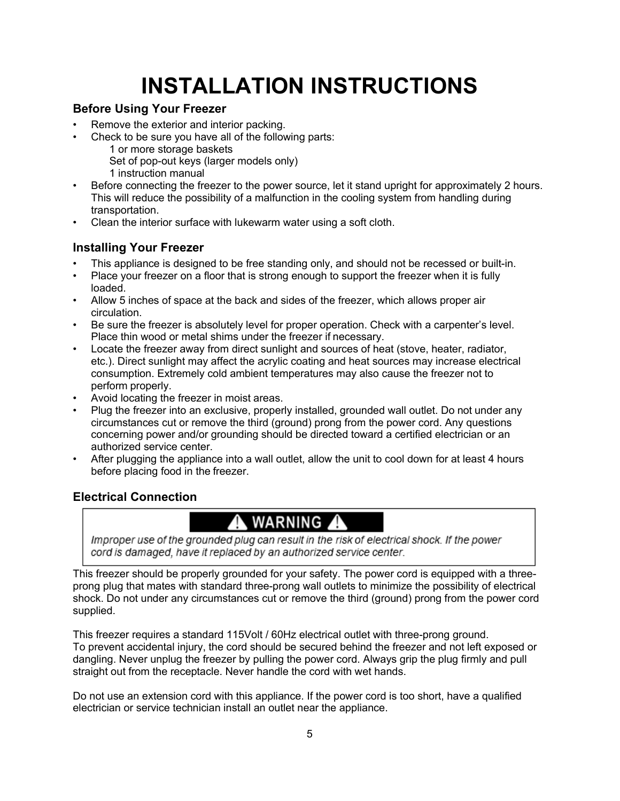# **INSTALLATION INSTRUCTIONS**

## **Before Using Your Freezer**

- Remove the exterior and interior packing.
- Check to be sure you have all of the following parts:
	- 1 or more storage baskets
	- Set of pop-out keys (larger models only)
	- 1 instruction manual
- Before connecting the freezer to the power source, let it stand upright for approximately 2 hours. This will reduce the possibility of a malfunction in the cooling system from handling during transportation.
- Clean the interior surface with lukewarm water using a soft cloth.

## **Installing Your Freezer**

- This appliance is designed to be free standing only, and should not be recessed or built-in.
- Place your freezer on a floor that is strong enough to support the freezer when it is fully loaded.
- Allow 5 inches of space at the back and sides of the freezer, which allows proper air circulation.
- Be sure the freezer is absolutely level for proper operation. Check with a carpenter's level. Place thin wood or metal shims under the freezer if necessary.
- Locate the freezer away from direct sunlight and sources of heat (stove, heater, radiator, etc.). Direct sunlight may affect the acrylic coating and heat sources may increase electrical consumption. Extremely cold ambient temperatures may also cause the freezer not to perform properly.
- Avoid locating the freezer in moist areas.
- Plug the freezer into an exclusive, properly installed, grounded wall outlet. Do not under any circumstances cut or remove the third (ground) prong from the power cord. Any questions concerning power and/or grounding should be directed toward a certified electrician or an authorized service center.
- After plugging the appliance into a wall outlet, allow the unit to cool down for at least 4 hours before placing food in the freezer.

## **Electrical Connection**

## A WARNING A

Improper use of the grounded plug can result in the risk of electrical shock. If the power cord is damaged, have it replaced by an authorized service center.

This freezer should be properly grounded for your safety. The power cord is equipped with a threeprong plug that mates with standard three-prong wall outlets to minimize the possibility of electrical shock. Do not under any circumstances cut or remove the third (ground) prong from the power cord supplied.

This freezer requires a standard 115Volt / 60Hz electrical outlet with three-prong ground. To prevent accidental injury, the cord should be secured behind the freezer and not left exposed or dangling. Never unplug the freezer by pulling the power cord. Always grip the plug firmly and pull straight out from the receptacle. Never handle the cord with wet hands.

Do not use an extension cord with this appliance. If the power cord is too short, have a qualified electrician or service technician install an outlet near the appliance.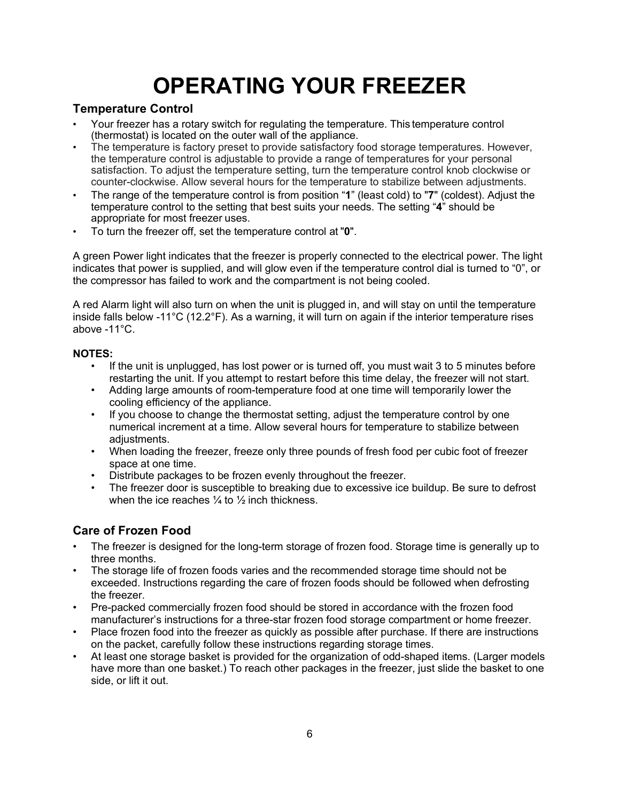# **OPERATING YOUR FREEZER**

### **Temperature Control**

- Your freezer has a rotary switch for regulating the temperature. This temperature control (thermostat) is located on the outer wall of the appliance.
- The temperature is factory preset to provide satisfactory food storage temperatures. However, the temperature control is adjustable to provide a range of temperatures for your personal satisfaction. To adjust the temperature setting, turn the temperature control knob clockwise or counter-clockwise. Allow several hours for the temperature to stabilize between adjustments.
- The range of the temperature control is from position "**1**" (least cold) to "**7**" (coldest). Adjust the temperature control to the setting that best suits your needs. The setting "**4**" should be appropriate for most freezer uses.
- To turn the freezer off, set the temperature control at "**0**".

A green Power light indicates that the freezer is properly connected to the electrical power. The light indicates that power is supplied, and will glow even if the temperature control dial is turned to "0", or the compressor has failed to work and the compartment is not being cooled.

A red Alarm light will also turn on when the unit is plugged in, and will stay on until the temperature inside falls below -11°C (12.2°F). As a warning, it will turn on again if the interior temperature rises above -11°C.

### **NOTES:**

- If the unit is unplugged, has lost power or is turned off, you must wait 3 to 5 minutes before restarting the unit. If you attempt to restart before this time delay, the freezer will not start.
- Adding large amounts of room-temperature food at one time will temporarily lower the cooling efficiency of the appliance.
- If you choose to change the thermostat setting, adjust the temperature control by one numerical increment at a time. Allow several hours for temperature to stabilize between adjustments.
- When loading the freezer, freeze only three pounds of fresh food per cubic foot of freezer space at one time.
- Distribute packages to be frozen evenly throughout the freezer.
- The freezer door is susceptible to breaking due to excessive ice buildup. Be sure to defrost when the ice reaches  $\frac{1}{4}$  to  $\frac{1}{2}$  inch thickness.

## **Care of Frozen Food**

- The freezer is designed for the long-term storage of frozen food. Storage time is generally up to three months.
- The storage life of frozen foods varies and the recommended storage time should not be exceeded. Instructions regarding the care of frozen foods should be followed when defrosting the freezer.
- Pre-packed commercially frozen food should be stored in accordance with the frozen food manufacturer's instructions for a three-star frozen food storage compartment or home freezer.
- Place frozen food into the freezer as quickly as possible after purchase. If there are instructions on the packet, carefully follow these instructions regarding storage times.
- At least one storage basket is provided for the organization of odd-shaped items. (Larger models have more than one basket.) To reach other packages in the freezer, just slide the basket to one side, or lift it out.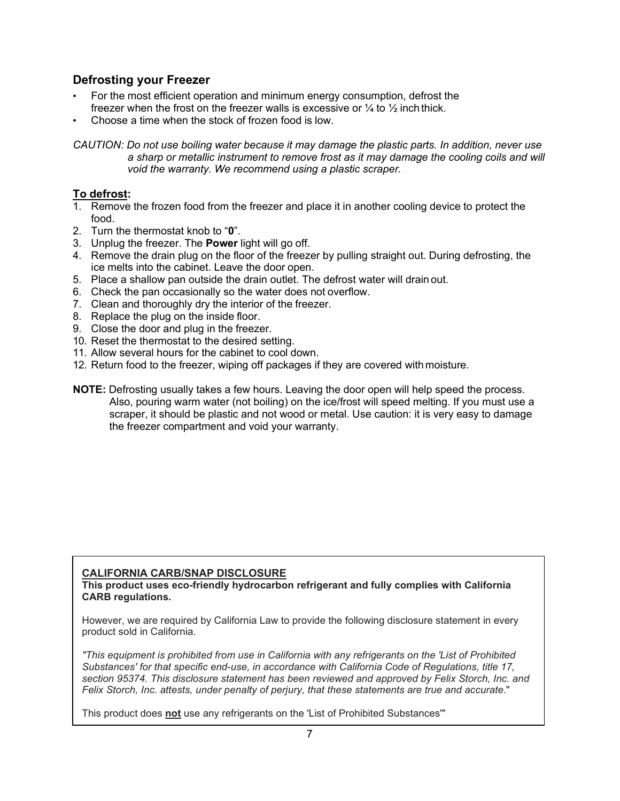### **Defrosting your Freezer**

- For the most efficient operation and minimum energy consumption, defrost the freezer when the frost on the freezer walls is excessive or  $\frac{1}{4}$  to  $\frac{1}{2}$  inch thick.
- Choose a time when the stock of frozen food is low.

*CAUTION: Do not use boiling water because it may damage the plastic parts. In addition, never use*  a sharp or metallic instrument to remove frost as it may damage the cooling coils and will *void the warranty. We recommend using a plastic scraper.*

### **To defrost:**

- 1. Remove the frozen food from the freezer and place it in another cooling device to protect the food.
- 2. Turn the thermostat knob to "**0**".
- 3. Unplug the freezer. The **Power** light will go off.
- 4. Remove the drain plug on the floor of the freezer by pulling straight out. During defrosting, the ice melts into the cabinet. Leave the door open.
- 5. Place a shallow pan outside the drain outlet. The defrost water will drain out.
- 6. Check the pan occasionally so the water does not overflow.
- 7. Clean and thoroughly dry the interior of the freezer.
- 8. Replace the plug on the inside floor.
- 9. Close the door and plug in the freezer.
- 10. Reset the thermostat to the desired setting.
- 11. Allow several hours for the cabinet to cool down.
- 12. Return food to the freezer, wiping off packages if they are covered with moisture.
- **NOTE:** Defrosting usually takes a few hours. Leaving the door open will help speed the process. Also, pouring warm water (not boiling) on the ice/frost will speed melting. If you must use a scraper, it should be plastic and not wood or metal. Use caution: it is very easy to damage the freezer compartment and void your warranty.

### **CALIFORNIA CARB/SNAP DISCLOSURE**

**This product uses eco-friendly hydrocarbon refrigerant and fully complies with California CARB regulations.**

However, we are required by California Law to provide the following disclosure statement in every product sold in California.

*"This equipment is prohibited from use in California with any refrigerants on the 'List of Prohibited Substances' for that specific end-use, in accordance with California Code of Regulations, title 17, section 95374. This disclosure statement has been reviewed and approved by Felix Storch, Inc. and Felix Storch, Inc. attests, under penalty of perjury, that these statements are true and accurate*."

This product does **not** use any refrigerants on the 'List of Prohibited Substances'"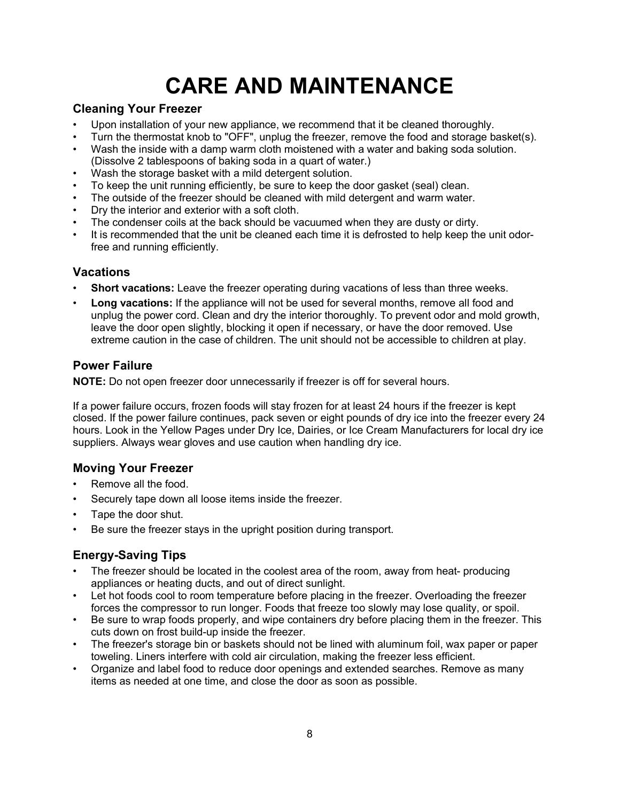# **CARE AND MAINTENANCE**

### **Cleaning Your Freezer**

- Upon installation of your new appliance, we recommend that it be cleaned thoroughly.
- Turn the thermostat knob to "OFF", unplug the freezer, remove the food and storage basket(s).
- Wash the inside with a damp warm cloth moistened with a water and baking soda solution. (Dissolve 2 tablespoons of baking soda in a quart of water.)
- Wash the storage basket with a mild detergent solution.
- To keep the unit running efficiently, be sure to keep the door gasket (seal) clean.
- The outside of the freezer should be cleaned with mild detergent and warm water.
- Dry the interior and exterior with a soft cloth.
- The condenser coils at the back should be vacuumed when they are dusty or dirty.
- It is recommended that the unit be cleaned each time it is defrosted to help keep the unit odorfree and running efficiently.

## **Vacations**

- **Short vacations:** Leave the freezer operating during vacations of less than three weeks.
- **Long vacations:** If the appliance will not be used for several months, remove all food and unplug the power cord. Clean and dry the interior thoroughly. To prevent odor and mold growth, leave the door open slightly, blocking it open if necessary, or have the door removed. Use extreme caution in the case of children. The unit should not be accessible to children at play.

### **Power Failure**

**NOTE:** Do not open freezer door unnecessarily if freezer is off for several hours.

If a power failure occurs, frozen foods will stay frozen for at least 24 hours if the freezer is kept closed. If the power failure continues, pack seven or eight pounds of dry ice into the freezer every 24 hours. Look in the Yellow Pages under Dry Ice, Dairies, or Ice Cream Manufacturers for local dry ice suppliers. Always wear gloves and use caution when handling dry ice.

### **Moving Your Freezer**

- Remove all the food.
- Securely tape down all loose items inside the freezer.
- Tape the door shut.
- Be sure the freezer stays in the upright position during transport.

## **Energy-Saving Tips**

- The freezer should be located in the coolest area of the room, away from heat- producing appliances or heating ducts, and out of direct sunlight.
- Let hot foods cool to room temperature before placing in the freezer. Overloading the freezer forces the compressor to run longer. Foods that freeze too slowly may lose quality, or spoil.
- Be sure to wrap foods properly, and wipe containers dry before placing them in the freezer. This cuts down on frost build-up inside the freezer.
- The freezer's storage bin or baskets should not be lined with aluminum foil, wax paper or paper toweling. Liners interfere with cold air circulation, making the freezer less efficient.
- Organize and label food to reduce door openings and extended searches. Remove as many items as needed at one time, and close the door as soon as possible.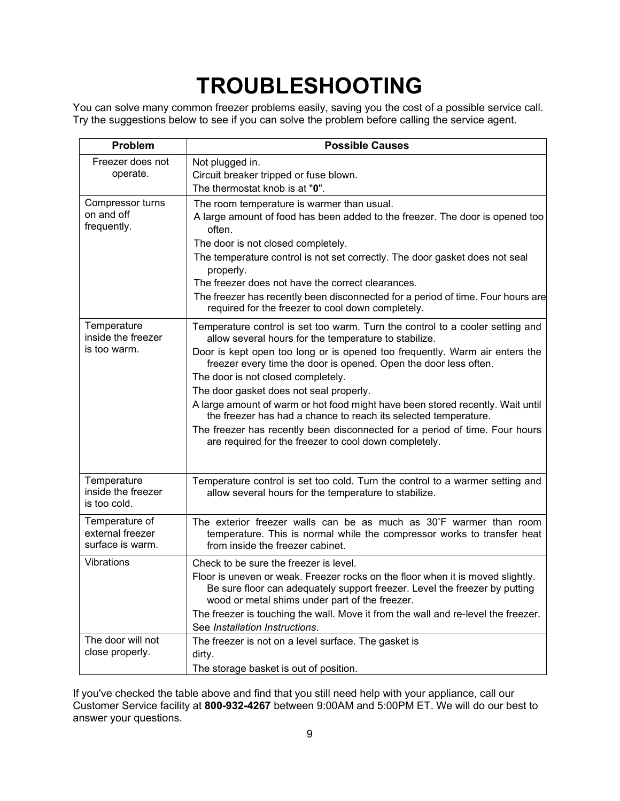# **TROUBLESHOOTING**

You can solve many common freezer problems easily, saving you the cost of a possible service call. Try the suggestions below to see if you can solve the problem before calling the service agent.

| Problem                                                | <b>Possible Causes</b>                                                                                                                                                                                                                                                                                                                                                                                                                                                                                                                                                                                                                                                  |
|--------------------------------------------------------|-------------------------------------------------------------------------------------------------------------------------------------------------------------------------------------------------------------------------------------------------------------------------------------------------------------------------------------------------------------------------------------------------------------------------------------------------------------------------------------------------------------------------------------------------------------------------------------------------------------------------------------------------------------------------|
| Freezer does not<br>operate.                           | Not plugged in.<br>Circuit breaker tripped or fuse blown.<br>The thermostat knob is at "0".                                                                                                                                                                                                                                                                                                                                                                                                                                                                                                                                                                             |
| Compressor turns<br>on and off<br>frequently.          | The room temperature is warmer than usual.<br>A large amount of food has been added to the freezer. The door is opened too<br>often.<br>The door is not closed completely.<br>The temperature control is not set correctly. The door gasket does not seal<br>properly.<br>The freezer does not have the correct clearances.<br>The freezer has recently been disconnected for a period of time. Four hours are<br>required for the freezer to cool down completely.                                                                                                                                                                                                     |
| Temperature<br>inside the freezer<br>is too warm.      | Temperature control is set too warm. Turn the control to a cooler setting and<br>allow several hours for the temperature to stabilize.<br>Door is kept open too long or is opened too frequently. Warm air enters the<br>freezer every time the door is opened. Open the door less often.<br>The door is not closed completely.<br>The door gasket does not seal properly.<br>A large amount of warm or hot food might have been stored recently. Wait until<br>the freezer has had a chance to reach its selected temperature.<br>The freezer has recently been disconnected for a period of time. Four hours<br>are required for the freezer to cool down completely. |
| Temperature<br>inside the freezer<br>is too cold.      | Temperature control is set too cold. Turn the control to a warmer setting and<br>allow several hours for the temperature to stabilize.                                                                                                                                                                                                                                                                                                                                                                                                                                                                                                                                  |
| Temperature of<br>external freezer<br>surface is warm. | The exterior freezer walls can be as much as 30°F warmer than room<br>temperature. This is normal while the compressor works to transfer heat<br>from inside the freezer cabinet.                                                                                                                                                                                                                                                                                                                                                                                                                                                                                       |
| Vibrations                                             | Check to be sure the freezer is level.<br>Floor is uneven or weak. Freezer rocks on the floor when it is moved slightly.<br>Be sure floor can adequately support freezer. Level the freezer by putting<br>wood or metal shims under part of the freezer.<br>The freezer is touching the wall. Move it from the wall and re-level the freezer.<br>See Installation Instructions.                                                                                                                                                                                                                                                                                         |
| The door will not<br>close properly.                   | The freezer is not on a level surface. The gasket is<br>dirty.<br>The storage basket is out of position.                                                                                                                                                                                                                                                                                                                                                                                                                                                                                                                                                                |

If you've checked the table above and find that you still need help with your appliance, call our Customer Service facility at **800-932-4267** between 9:00AM and 5:00PM ET. We will do our best to answer your questions.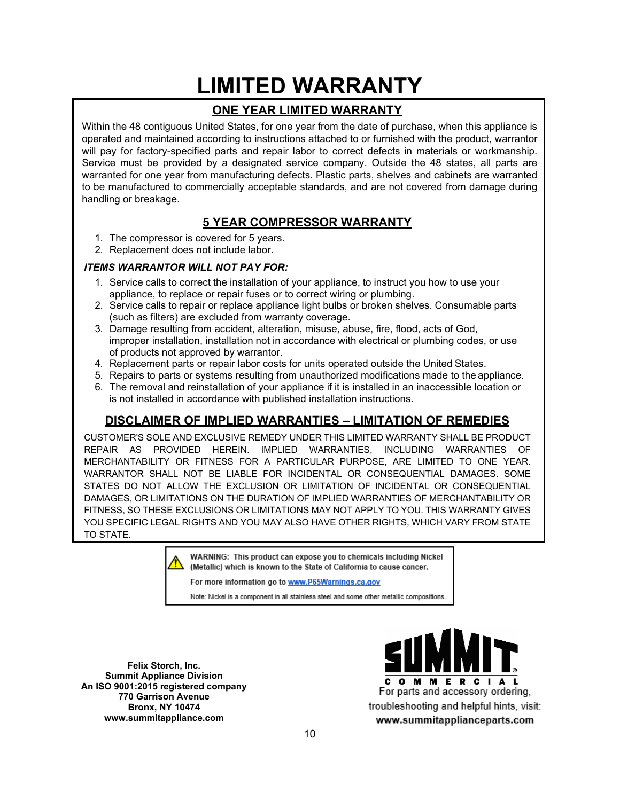# **LIMITED WARRANTY**

## **ONE YEAR LIMITED WARRANTY**

Within the 48 contiguous United States, for one year from the date of purchase, when this appliance is operated and maintained according to instructions attached to or furnished with the product, warrantor will pay for factory-specified parts and repair labor to correct defects in materials or workmanship. Service must be provided by a designated service company. Outside the 48 states, all parts are warranted for one year from manufacturing defects. Plastic parts, shelves and cabinets are warranted to be manufactured to commercially acceptable standards, and are not covered from damage during handling or breakage.

## **5 YEAR COMPRESSOR WARRANTY**

- 1. The compressor is covered for 5 years.
- 2. Replacement does not include labor.

### *ITEMS WARRANTOR WILL NOT PAY FOR:*

- 1. Service calls to correct the installation of your appliance, to instruct you how to use your appliance, to replace or repair fuses or to correct wiring or plumbing.
- 2. Service calls to repair or replace appliance light bulbs or broken shelves. Consumable parts (such as filters) are excluded from warranty coverage.
- 3. Damage resulting from accident, alteration, misuse, abuse, fire, flood, acts of God, improper installation, installation not in accordance with electrical or plumbing codes, or use of products not approved by warrantor.
- 4. Replacement parts or repair labor costs for units operated outside the United States.
- 5. Repairs to parts or systems resulting from unauthorized modifications made to the appliance.
- 6. The removal and reinstallation of your appliance if it is installed in an inaccessible location or is not installed in accordance with published installation instructions.

## **DISCLAIMER OF IMPLIED WARRANTIES – LIMITATION OF REMEDIES**

CUSTOMER'S SOLE AND EXCLUSIVE REMEDY UNDER THIS LIMITED WARRANTY SHALL BE PRODUCT REPAIR AS PROVIDED HEREIN. IMPLIED WARRANTIES, INCLUDING WARRANTIES OF MERCHANTABILITY OR FITNESS FOR A PARTICULAR PURPOSE, ARE LIMITED TO ONE YEAR. WARRANTOR SHALL NOT BE LIABLE FOR INCIDENTAL OR CONSEQUENTIAL DAMAGES. SOME STATES DO NOT ALLOW THE EXCLUSION OR LIMITATION OF INCIDENTAL OR CONSEQUENTIAL DAMAGES, OR LIMITATIONS ON THE DURATION OF IMPLIED WARRANTIES OF MERCHANTABILITY OR FITNESS, SO THESE EXCLUSIONS OR LIMITATIONS MAY NOT APPLY TO YOU. THIS WARRANTY GIVES YOU SPECIFIC LEGAL RIGHTS AND YOU MAY ALSO HAVE OTHER RIGHTS, WHICH VARY FROM STATE TO STATE.

WARNING: This product can expose you to chemicals including Nickel (Metallic) which is known to the State of California to cause cancer.

For more information go to www.P65Warnings.ca.gov

Note: Nickel is a component in all stainless steel and some other metallic compositions.

**Felix Storch, Inc. Summit Appliance Division An ISO 9001:2015 registered company 770 Garrison Avenue Bronx, NY 10474 www.summitappliance.com**

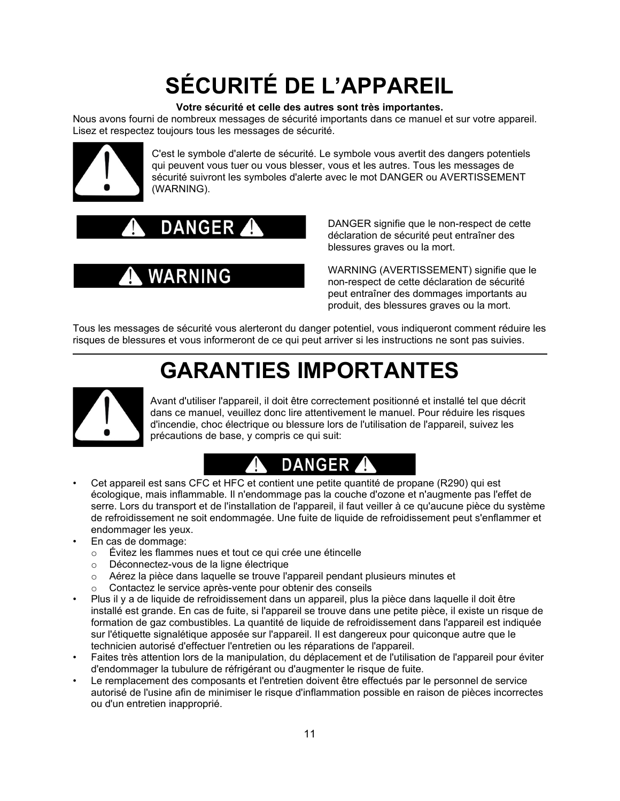# **SÉCURITÉ DE L'APPAREIL**

#### **Votre sécurité et celle des autres sont très importantes.**

Nous avons fourni de nombreux messages de sécurité importants dans ce manuel et sur votre appareil. Lisez et respectez toujours tous les messages de sécurité.



C'est le symbole d'alerte de sécurité. Le symbole vous avertit des dangers potentiels qui peuvent vous tuer ou vous blesser, vous et les autres. Tous les messages de sécurité suivront les symboles d'alerte avec le mot DANGER ou AVERTISSEMENT (WARNING).

# **DANGER**

# **WARNING**

DANGER signifie que le non-respect de cette déclaration de sécurité peut entraîner des blessures graves ou la mort.

WARNING (AVERTISSEMENT) signifie que le non-respect de cette déclaration de sécurité peut entraîner des dommages importants au produit, des blessures graves ou la mort.

Tous les messages de sécurité vous alerteront du danger potentiel, vous indiqueront comment réduire les risques de blessures et vous informeront de ce qui peut arriver si les instructions ne sont pas suivies.

# **GARANTIES IMPORTANTES**



Avant d'utiliser l'appareil, il doit être correctement positionné et installé tel que décrit dans ce manuel, veuillez donc lire attentivement le manuel. Pour réduire les risques d'incendie, choc électrique ou blessure lors de l'utilisation de l'appareil, suivez les précautions de base, y compris ce qui suit:

# **DANGER**

- Cet appareil est sans CFC et HFC et contient une petite quantité de propane (R290) qui est écologique, mais inflammable. Il n'endommage pas la couche d'ozone et n'augmente pas l'effet de serre. Lors du transport et de l'installation de l'appareil, il faut veiller à ce qu'aucune pièce du système de refroidissement ne soit endommagée. Une fuite de liquide de refroidissement peut s'enflammer et endommager les yeux.
- En cas de dommage:
	- o Évitez les flammes nues et tout ce qui crée une étincelle
	- o Déconnectez-vous de la ligne électrique
	- o Aérez la pièce dans laquelle se trouve l'appareil pendant plusieurs minutes et <br>○ Contactez le service après-vente pour obtenir des conseils
	- Contactez le service après-vente pour obtenir des conseils
- Plus il y a de liquide de refroidissement dans un appareil, plus la pièce dans laquelle il doit être installé est grande. En cas de fuite, si l'appareil se trouve dans une petite pièce, il existe un risque de formation de gaz combustibles. La quantité de liquide de refroidissement dans l'appareil est indiquée sur l'étiquette signalétique apposée sur l'appareil. Il est dangereux pour quiconque autre que le technicien autorisé d'effectuer l'entretien ou les réparations de l'appareil.
- Faites très attention lors de la manipulation, du déplacement et de l'utilisation de l'appareil pour éviter d'endommager la tubulure de réfrigérant ou d'augmenter le risque de fuite.
- Le remplacement des composants et l'entretien doivent être effectués par le personnel de service autorisé de l'usine afin de minimiser le risque d'inflammation possible en raison de pièces incorrectes ou d'un entretien inapproprié.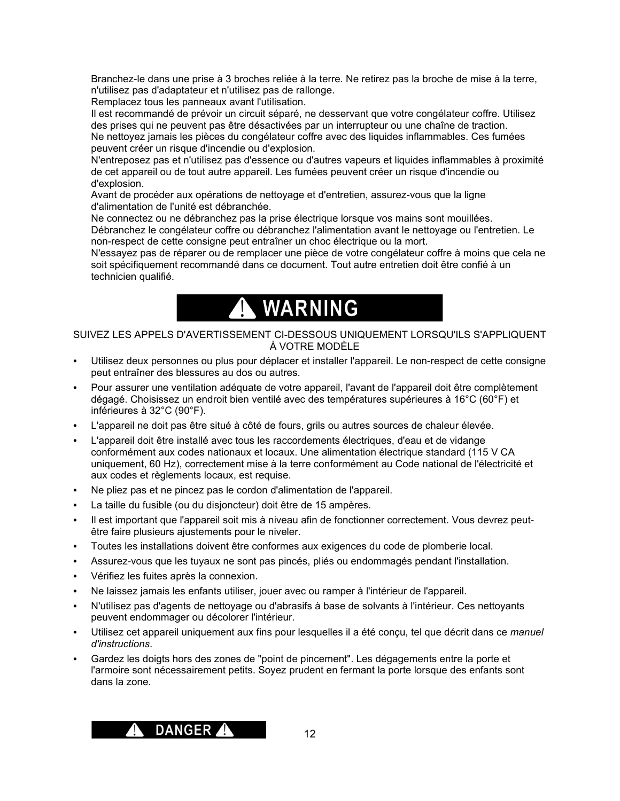Branchez-le dans une prise à 3 broches reliée à la terre. Ne retirez pas la broche de mise à la terre, n'utilisez pas d'adaptateur et n'utilisez pas de rallonge.

Remplacez tous les panneaux avant l'utilisation.

Il est recommandé de prévoir un circuit séparé, ne desservant que votre congélateur coffre. Utilisez des prises qui ne peuvent pas être désactivées par un interrupteur ou une chaîne de traction. Ne nettoyez jamais les pièces du congélateur coffre avec des liquides inflammables. Ces fumées peuvent créer un risque d'incendie ou d'explosion.

N'entreposez pas et n'utilisez pas d'essence ou d'autres vapeurs et liquides inflammables à proximité de cet appareil ou de tout autre appareil. Les fumées peuvent créer un risque d'incendie ou d'explosion.

Avant de procéder aux opérations de nettoyage et d'entretien, assurez-vous que la ligne d'alimentation de l'unité est débranchée.

Ne connectez ou ne débranchez pas la prise électrique lorsque vos mains sont mouillées. Débranchez le congélateur coffre ou débranchez l'alimentation avant le nettoyage ou l'entretien. Le non-respect de cette consigne peut entraîner un choc électrique ou la mort.

N'essayez pas de réparer ou de remplacer une pièce de votre congélateur coffre à moins que cela ne soit spécifiquement recommandé dans ce document. Tout autre entretien doit être confié à un technicien qualifié.

# A WARNING

#### SUIVEZ LES APPELS D'AVERTISSEMENT CI-DESSOUS UNIQUEMENT LORSQU'ILS S'APPLIQUENT À VOTRE MODÈLE

- Utilisez deux personnes ou plus pour déplacer et installer l'appareil. Le non-respect de cette consigne peut entraîner des blessures au dos ou autres.
- Pour assurer une ventilation adéquate de votre appareil, l'avant de l'appareil doit être complètement dégagé. Choisissez un endroit bien ventilé avec des températures supérieures à 16°C (60°F) et inférieures à 32°C (90°F).
- L'appareil ne doit pas être situé à côté de fours, grils ou autres sources de chaleur élevée.
- L'appareil doit être installé avec tous les raccordements électriques, d'eau et de vidange conformément aux codes nationaux et locaux. Une alimentation électrique standard (115 V CA uniquement, 60 Hz), correctement mise à la terre conformément au Code national de l'électricité et aux codes et règlements locaux, est requise.
- Ne pliez pas et ne pincez pas le cordon d'alimentation de l'appareil.
- La taille du fusible (ou du disjoncteur) doit être de 15 ampères.
- Il est important que l'appareil soit mis à niveau afin de fonctionner correctement. Vous devrez peutêtre faire plusieurs ajustements pour le niveler.
- Toutes les installations doivent être conformes aux exigences du code de plomberie local.
- Assurez-vous que les tuyaux ne sont pas pincés, pliés ou endommagés pendant l'installation.
- Vérifiez les fuites après la connexion.
- Ne laissez jamais les enfants utiliser, jouer avec ou ramper à l'intérieur de l'appareil.
- N'utilisez pas d'agents de nettoyage ou d'abrasifs à base de solvants à l'intérieur. Ces nettoyants peuvent endommager ou décolorer l'intérieur.
- Utilisez cet appareil uniquement aux fins pour lesquelles il a été conçu, tel que décrit dans ce *manuel d'instructions*.
- Gardez les doigts hors des zones de "point de pincement". Les dégagements entre la porte et l'armoire sont nécessairement petits. Soyez prudent en fermant la porte lorsque des enfants sont dans la zone.

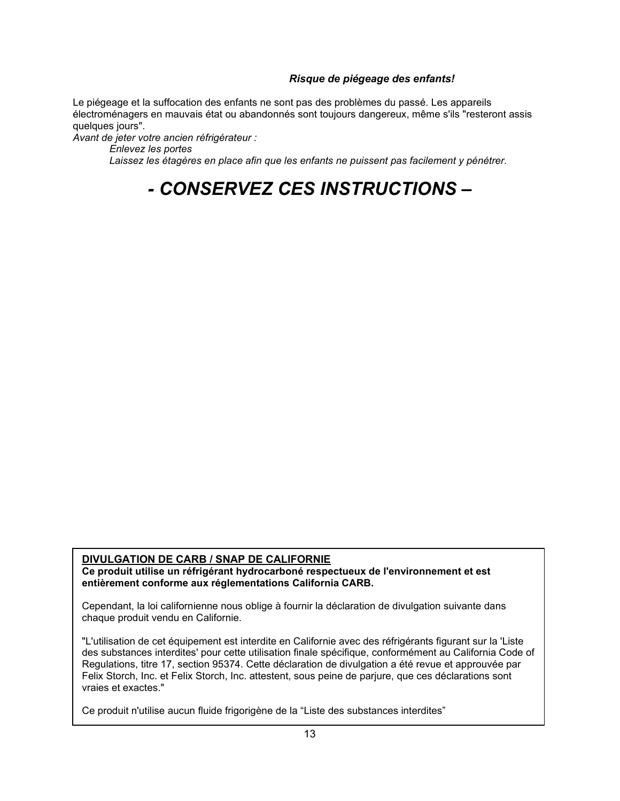#### *Risque de piégeage des enfants!*

Le piégeage et la suffocation des enfants ne sont pas des problèmes du passé. Les appareils électroménagers en mauvais état ou abandonnés sont toujours dangereux, même s'ils "resteront assis quelques jours".

*Avant de jeter votre ancien réfrigérateur :*

*Enlevez les portes*

*Laissez les étagères en place afin que les enfants ne puissent pas facilement y pénétrer.*

# *- CONSERVEZ CES INSTRUCTIONS –*

#### **DIVULGATION DE CARB / SNAP DE CALIFORNIE**

**Ce produit utilise un réfrigérant hydrocarboné respectueux de l'environnement et est entièrement conforme aux réglementations California CARB.**

Cependant, la loi californienne nous oblige à fournir la déclaration de divulgation suivante dans chaque produit vendu en Californie.

"L'utilisation de cet équipement est interdite en Californie avec des réfrigérants figurant sur la 'Liste des substances interdites' pour cette utilisation finale spécifique, conformément au California Code of Regulations, titre 17, section 95374. Cette déclaration de divulgation a été revue et approuvée par Felix Storch, Inc. et Felix Storch, Inc. attestent, sous peine de parjure, que ces déclarations sont vraies et exactes."

Ce produit n'utilise aucun fluide frigorigène de la "Liste des substances interdites"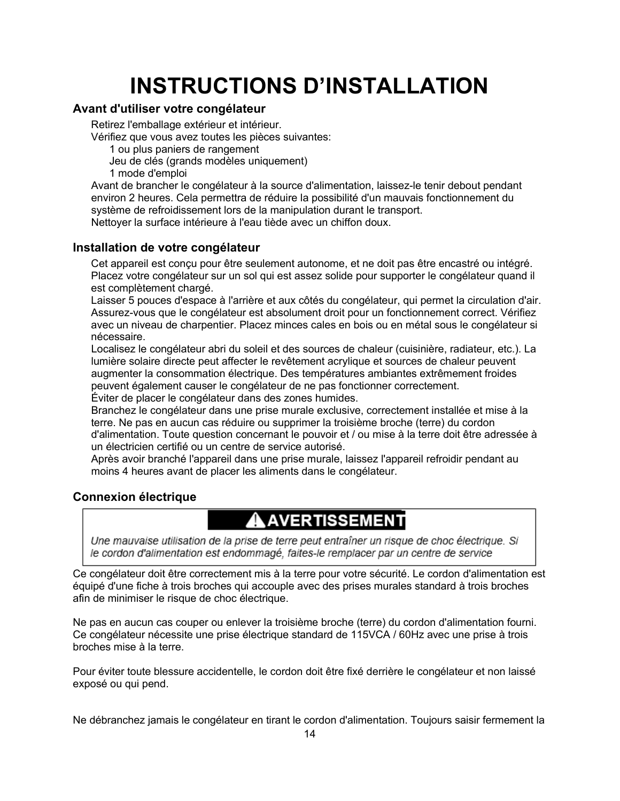# **INSTRUCTIONS D'INSTALLATION**

### **Avant d'utiliser votre congélateur**

Retirez l'emballage extérieur et intérieur.

Vérifiez que vous avez toutes les pièces suivantes:

1 ou plus paniers de rangement

Jeu de clés (grands modèles uniquement)

1 mode d'emploi

Avant de brancher le congélateur à la source d'alimentation, laissez-le tenir debout pendant environ 2 heures. Cela permettra de réduire la possibilité d'un mauvais fonctionnement du système de refroidissement lors de la manipulation durant le transport. Nettoyer la surface intérieure à l'eau tiède avec un chiffon doux.

### **Installation de votre congélateur**

Cet appareil est conçu pour être seulement autonome, et ne doit pas être encastré ou intégré. Placez votre congélateur sur un sol qui est assez solide pour supporter le congélateur quand il est complètement chargé.

Laisser 5 pouces d'espace à l'arrière et aux côtés du congélateur, qui permet la circulation d'air. Assurez-vous que le congélateur est absolument droit pour un fonctionnement correct. Vérifiez avec un niveau de charpentier. Placez minces cales en bois ou en métal sous le congélateur si nécessaire.

Localisez le congélateur abri du soleil et des sources de chaleur (cuisinière, radiateur, etc.). La lumière solaire directe peut affecter le revêtement acrylique et sources de chaleur peuvent augmenter la consommation électrique. Des températures ambiantes extrêmement froides peuvent également causer le congélateur de ne pas fonctionner correctement.

Éviter de placer le congélateur dans des zones humides.

Branchez le congélateur dans une prise murale exclusive, correctement installée et mise à la terre. Ne pas en aucun cas réduire ou supprimer la troisième broche (terre) du cordon d'alimentation. Toute question concernant le pouvoir et / ou mise à la terre doit être adressée à un électricien certifié ou un centre de service autorisé.

Après avoir branché l'appareil dans une prise murale, laissez l'appareil refroidir pendant au moins 4 heures avant de placer les aliments dans le congélateur.

### **Connexion électrique**

## AAVERTISSEMENT

Une mauvaise utilisation de la prise de terre peut entraîner un risque de choc électrique. Si le cordon d'alimentation est endommagé, faites-le remplacer par un centre de service

Ce congélateur doit être correctement mis à la terre pour votre sécurité. Le cordon d'alimentation est équipé d'une fiche à trois broches qui accouple avec des prises murales standard à trois broches afin de minimiser le risque de choc électrique.

Ne pas en aucun cas couper ou enlever la troisième broche (terre) du cordon d'alimentation fourni. Ce congélateur nécessite une prise électrique standard de 115VCA / 60Hz avec une prise à trois broches mise à la terre.

Pour éviter toute blessure accidentelle, le cordon doit être fixé derrière le congélateur et non laissé exposé ou qui pend.

Ne débranchez jamais le congélateur en tirant le cordon d'alimentation. Toujours saisir fermement la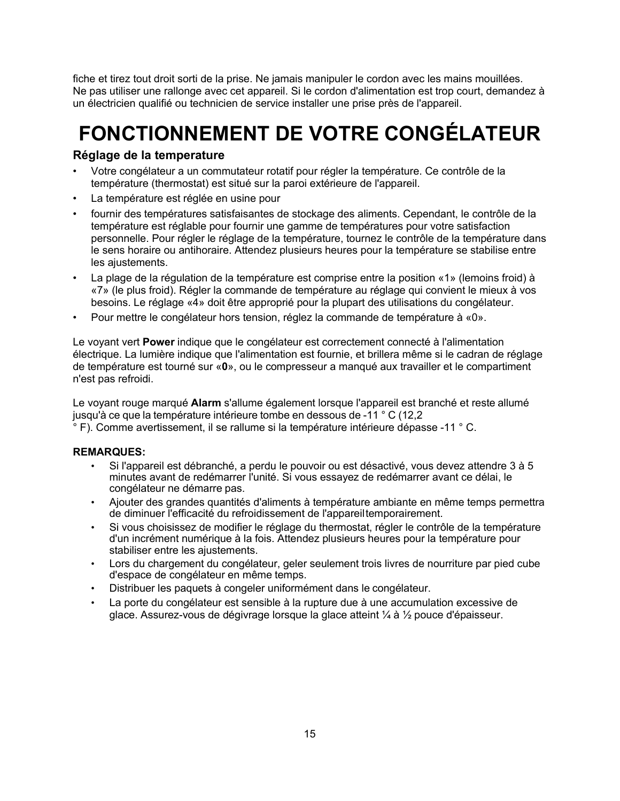fiche et tirez tout droit sorti de la prise. Ne jamais manipuler le cordon avec les mains mouillées. Ne pas utiliser une rallonge avec cet appareil. Si le cordon d'alimentation est trop court, demandez à un électricien qualifié ou technicien de service installer une prise près de l'appareil.

# **FONCTIONNEMENT DE VOTRE CONGÉLATEUR**

### **Réglage de la temperature**

- Votre congélateur a un commutateur rotatif pour régler la température. Ce contrôle de la température (thermostat) est situé sur la paroi extérieure de l'appareil.
- La température est réglée en usine pour
- fournir des températures satisfaisantes de stockage des aliments. Cependant, le contrôle de la température est réglable pour fournir une gamme de températures pour votre satisfaction personnelle. Pour régler le réglage de la température, tournez le contrôle de la température dans le sens horaire ou antihoraire. Attendez plusieurs heures pour la température se stabilise entre les ajustements.
- La plage de la régulation de la température est comprise entre la position «1» (lemoins froid) à «7» (le plus froid). Régler la commande de température au réglage qui convient le mieux à vos besoins. Le réglage «4» doit être approprié pour la plupart des utilisations du congélateur.
- Pour mettre le congélateur hors tension, réglez la commande de température à «0».

Le voyant vert **Power** indique que le congélateur est correctement connecté à l'alimentation électrique. La lumière indique que l'alimentation est fournie, et brillera même si le cadran de réglage de température est tourné sur «**0**», ou le compresseur a manqué aux travailler et le compartiment n'est pas refroidi.

Le voyant rouge marqué **Alarm** s'allume également lorsque l'appareil est branché et reste allumé jusqu'à ce que la température intérieure tombe en dessous de -11 ° C (12,2

° F). Comme avertissement, il se rallume si la température intérieure dépasse -11 ° C.

#### **REMARQUES:**

- Si l'appareil est débranché, a perdu le pouvoir ou est désactivé, vous devez attendre 3 à 5 minutes avant de redémarrer l'unité. Si vous essayez de redémarrer avant ce délai, le congélateur ne démarre pas.
- Ajouter des grandes quantités d'aliments à température ambiante en même temps permettra de diminuer l'efficacité du refroidissement de l'appareiltemporairement.
- Si vous choisissez de modifier le réglage du thermostat, régler le contrôle de la température d'un incrément numérique à la fois. Attendez plusieurs heures pour la température pour stabiliser entre les ajustements.
- Lors du chargement du congélateur, geler seulement trois livres de nourriture par pied cube d'espace de congélateur en même temps.
- Distribuer les paquets à congeler uniformément dans le congélateur.
- La porte du congélateur est sensible à la rupture due à une accumulation excessive de glace. Assurez-vous de dégivrage lorsque la glace atteint ¼ à ½ pouce d'épaisseur.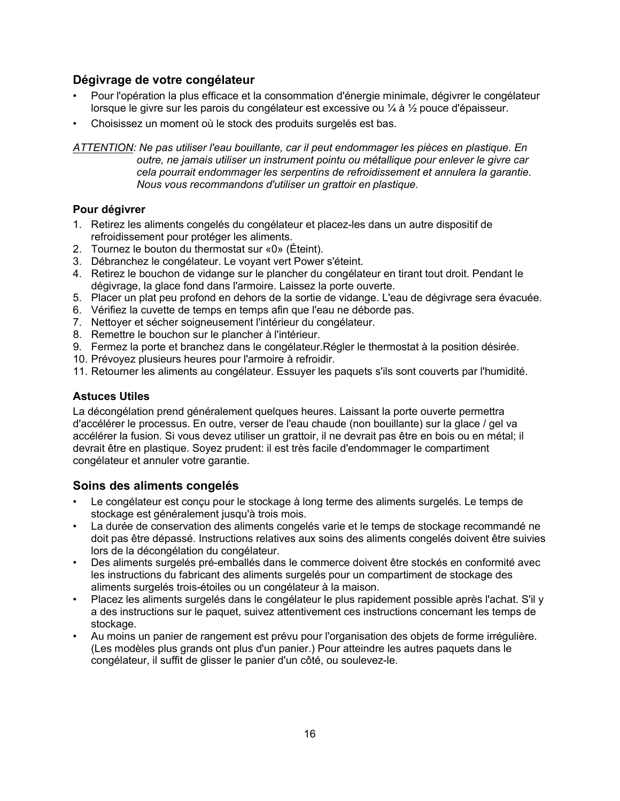### **Dégivrage de votre congélateur**

- Pour l'opération la plus efficace et la consommation d'énergie minimale, dégivrer le congélateur lorsque le givre sur les parois du congélateur est excessive ou ¼ à ½ pouce d'épaisseur.
- Choisissez un moment où le stock des produits surgelés est bas.

*ATTENTION: Ne pas utiliser l'eau bouillante, car il peut endommager les pièces en plastique. En outre, ne jamais utiliser un instrument pointu ou métallique pour enlever le givre car cela pourrait endommager les serpentins de refroidissement et annulera la garantie. Nous vous recommandons d'utiliser un grattoir en plastique.*

#### **Pour dégivrer**

- 1. Retirez les aliments congelés du congélateur et placez-les dans un autre dispositif de refroidissement pour protéger les aliments.
- 2. Tournez le bouton du thermostat sur «0» (Éteint).
- 3. Débranchez le congélateur. Le voyant vert Power s'éteint.
- 4. Retirez le bouchon de vidange sur le plancher du congélateur en tirant tout droit. Pendant le dégivrage, la glace fond dans l'armoire. Laissez la porte ouverte.
- 5. Placer un plat peu profond en dehors de la sortie de vidange. L'eau de dégivrage sera évacuée.
- 6. Vérifiez la cuvette de temps en temps afin que l'eau ne déborde pas.
- 7. Nettoyer et sécher soigneusement l'intérieur du congélateur.
- 8. Remettre le bouchon sur le plancher à l'intérieur.
- 9. Fermez la porte et branchez dans le congélateur.Régler le thermostat à la position désirée.
- 10. Prévoyez plusieurs heures pour l'armoire à refroidir.
- 11. Retourner les aliments au congélateur. Essuyer les paquets s'ils sont couverts par l'humidité.

### **Astuces Utiles**

La décongélation prend généralement quelques heures. Laissant la porte ouverte permettra d'accélérer le processus. En outre, verser de l'eau chaude (non bouillante) sur la glace / gel va accélérer la fusion. Si vous devez utiliser un grattoir, il ne devrait pas être en bois ou en métal; il devrait être en plastique. Soyez prudent: il est très facile d'endommager le compartiment congélateur et annuler votre garantie.

### **Soins des aliments congelés**

- Le congélateur est conçu pour le stockage à long terme des aliments surgelés. Le temps de stockage est généralement jusqu'à trois mois.
- La durée de conservation des aliments congelés varie et le temps de stockage recommandé ne doit pas être dépassé. Instructions relatives aux soins des aliments congelés doivent être suivies lors de la décongélation du congélateur.
- Des aliments surgelés pré-emballés dans le commerce doivent être stockés en conformité avec les instructions du fabricant des aliments surgelés pour un compartiment de stockage des aliments surgelés trois-étoiles ou un congélateur à la maison.
- Placez les aliments surgelés dans le congélateur le plus rapidement possible après l'achat. S'il y a des instructions sur le paquet, suivez attentivement ces instructions concernant les temps de stockage.
- Au moins un panier de rangement est prévu pour l'organisation des objets de forme irrégulière. (Les modèles plus grands ont plus d'un panier.) Pour atteindre les autres paquets dans le congélateur, il suffit de glisser le panier d'un côté, ou soulevez-le.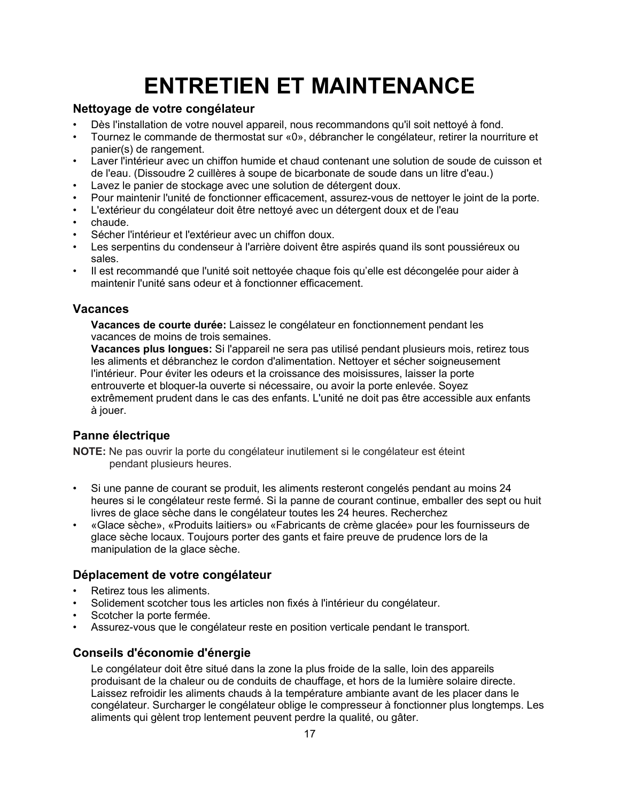# **ENTRETIEN ET MAINTENANCE**

### **Nettoyage de votre congélateur**

- Dès l'installation de votre nouvel appareil, nous recommandons qu'il soit nettoyé à fond.
- Tournez le commande de thermostat sur «0», débrancher le congélateur, retirer la nourriture et panier(s) de rangement.
- Laver l'intérieur avec un chiffon humide et chaud contenant une solution de soude de cuisson et de l'eau. (Dissoudre 2 cuillères à soupe de bicarbonate de soude dans un litre d'eau.)
- Lavez le panier de stockage avec une solution de détergent doux.
- Pour maintenir l'unité de fonctionner efficacement, assurez-vous de nettoyer le joint de la porte.
- L'extérieur du congélateur doit être nettoyé avec un détergent doux et de l'eau
- chaude.
- Sécher l'intérieur et l'extérieur avec un chiffon doux.
- Les serpentins du condenseur à l'arrière doivent être aspirés quand ils sont poussiéreux ou sales.
- Il est recommandé que l'unité soit nettoyée chaque fois qu'elle est décongelée pour aider à maintenir l'unité sans odeur et à fonctionner efficacement.

### **Vacances**

**Vacances de courte durée:** Laissez le congélateur en fonctionnement pendant les vacances de moins de trois semaines.

**Vacances plus longues:** Si l'appareil ne sera pas utilisé pendant plusieurs mois, retirez tous les aliments et débranchez le cordon d'alimentation. Nettoyer et sécher soigneusement l'intérieur. Pour éviter les odeurs et la croissance des moisissures, laisser la porte entrouverte et bloquer-la ouverte si nécessaire, ou avoir la porte enlevée. Soyez extrêmement prudent dans le cas des enfants. L'unité ne doit pas être accessible aux enfants à jouer.

### **Panne électrique**

**NOTE:** Ne pas ouvrir la porte du congélateur inutilement si le congélateur est éteint pendant plusieurs heures.

- Si une panne de courant se produit, les aliments resteront congelés pendant au moins 24 heures si le congélateur reste fermé. Si la panne de courant continue, emballer des sept ou huit livres de glace sèche dans le congélateur toutes les 24 heures. Recherchez
- «Glace sèche», «Produits laitiers» ou «Fabricants de crème glacée» pour les fournisseurs de glace sèche locaux. Toujours porter des gants et faire preuve de prudence lors de la manipulation de la glace sèche.

### **Déplacement de votre congélateur**

- Retirez tous les aliments.
- Solidement scotcher tous les articles non fixés à l'intérieur du congélateur.
- Scotcher la porte fermée.
- Assurez-vous que le congélateur reste en position verticale pendant le transport.

### **Conseils d'économie d'énergie**

Le congélateur doit être situé dans la zone la plus froide de la salle, loin des appareils produisant de la chaleur ou de conduits de chauffage, et hors de la lumière solaire directe. Laissez refroidir les aliments chauds à la température ambiante avant de les placer dans le congélateur. Surcharger le congélateur oblige le compresseur à fonctionner plus longtemps. Les aliments qui gèlent trop lentement peuvent perdre la qualité, ou gâter.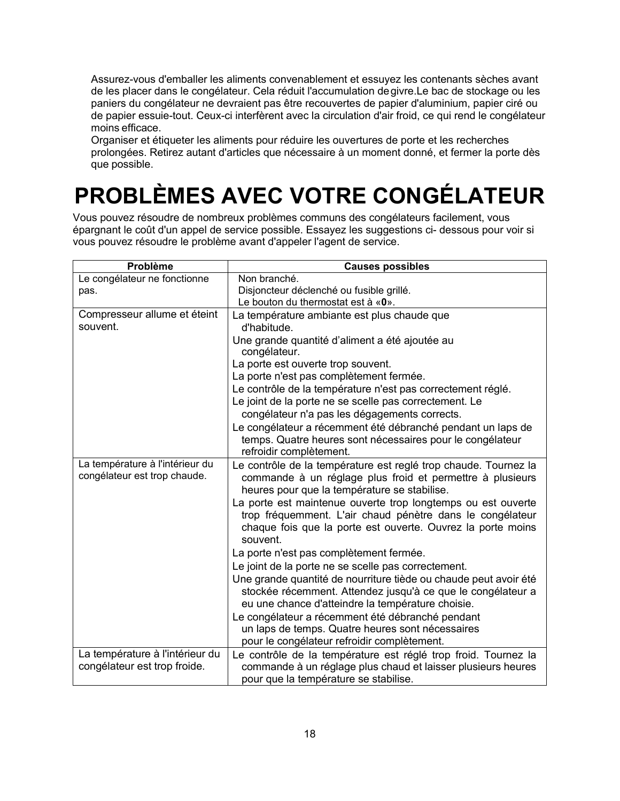Assurez-vous d'emballer les aliments convenablement et essuyez les contenants sèches avant de les placer dans le congélateur. Cela réduit l'accumulation degivre.Le bac de stockage ou les paniers du congélateur ne devraient pas être recouvertes de papier d'aluminium, papier ciré ou de papier essuie-tout. Ceux-ci interfèrent avec la circulation d'air froid, ce qui rend le congélateur moins efficace.

Organiser et étiqueter les aliments pour réduire les ouvertures de porte et les recherches prolongées. Retirez autant d'articles que nécessaire à un moment donné, et fermer la porte dès que possible.

# **PROBLÈMES AVEC VOTRE CONGÉLATEUR**

Vous pouvez résoudre de nombreux problèmes communs des congélateurs facilement, vous épargnant le coût d'un appel de service possible. Essayez les suggestions ci- dessous pour voir si vous pouvez résoudre le problème avant d'appeler l'agent de service.

| Problème                                                        | <b>Causes possibles</b>                                                                                                                                                                              |
|-----------------------------------------------------------------|------------------------------------------------------------------------------------------------------------------------------------------------------------------------------------------------------|
| Le congélateur ne fonctionne                                    | Non branché.                                                                                                                                                                                         |
| pas.                                                            | Disjoncteur déclenché ou fusible grillé.                                                                                                                                                             |
|                                                                 | Le bouton du thermostat est à «0».                                                                                                                                                                   |
| Compresseur allume et éteint<br>souvent.                        | La température ambiante est plus chaude que<br>d'habitude.                                                                                                                                           |
|                                                                 | Une grande quantité d'aliment a été ajoutée au<br>congélateur.                                                                                                                                       |
|                                                                 | La porte est ouverte trop souvent.                                                                                                                                                                   |
|                                                                 | La porte n'est pas complètement fermée.                                                                                                                                                              |
|                                                                 | Le contrôle de la température n'est pas correctement réglé.                                                                                                                                          |
|                                                                 | Le joint de la porte ne se scelle pas correctement. Le                                                                                                                                               |
|                                                                 | congélateur n'a pas les dégagements corrects.                                                                                                                                                        |
|                                                                 | Le congélateur a récemment été débranché pendant un laps de<br>temps. Quatre heures sont nécessaires pour le congélateur<br>refroidir complètement.                                                  |
| La température à l'intérieur du<br>congélateur est trop chaude. | Le contrôle de la température est reglé trop chaude. Tournez la<br>commande à un réglage plus froid et permettre à plusieurs<br>heures pour que la température se stabilise.                         |
|                                                                 | La porte est maintenue ouverte trop longtemps ou est ouverte<br>trop fréquemment. L'air chaud pénètre dans le congélateur<br>chaque fois que la porte est ouverte. Ouvrez la porte moins<br>souvent. |
|                                                                 | La porte n'est pas complètement fermée.                                                                                                                                                              |
|                                                                 | Le joint de la porte ne se scelle pas correctement.                                                                                                                                                  |
|                                                                 | Une grande quantité de nourriture tiède ou chaude peut avoir été<br>stockée récemment. Attendez jusqu'à ce que le congélateur a<br>eu une chance d'atteindre la température choisie.                 |
|                                                                 | Le congélateur a récemment été débranché pendant                                                                                                                                                     |
|                                                                 | un laps de temps. Quatre heures sont nécessaires                                                                                                                                                     |
|                                                                 | pour le congélateur refroidir complètement.                                                                                                                                                          |
| La température à l'intérieur du<br>congélateur est trop froide. | Le contrôle de la température est réglé trop froid. Tournez la<br>commande à un réglage plus chaud et laisser plusieurs heures<br>pour que la température se stabilise.                              |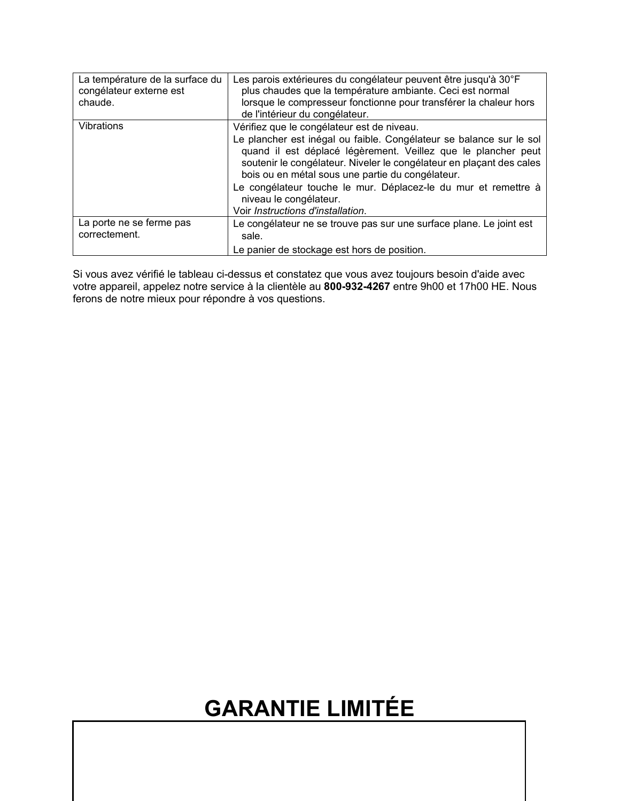| La température de la surface du<br>congélateur externe est<br>chaude. | Les parois extérieures du congélateur peuvent être jusqu'à 30°F<br>plus chaudes que la température ambiante. Ceci est normal<br>lorsque le compresseur fonctionne pour transférer la chaleur hors<br>de l'intérieur du congélateur.                                                                                                                                                                                                             |
|-----------------------------------------------------------------------|-------------------------------------------------------------------------------------------------------------------------------------------------------------------------------------------------------------------------------------------------------------------------------------------------------------------------------------------------------------------------------------------------------------------------------------------------|
| Vibrations                                                            | Vérifiez que le congélateur est de niveau.<br>Le plancher est inégal ou faible. Congélateur se balance sur le sol<br>quand il est déplacé légèrement. Veillez que le plancher peut<br>soutenir le congélateur. Niveler le congélateur en plaçant des cales<br>bois ou en métal sous une partie du congélateur.<br>Le congélateur touche le mur. Déplacez-le du mur et remettre à<br>niveau le congélateur.<br>Voir Instructions d'installation. |
| La porte ne se ferme pas<br>correctement.                             | Le congélateur ne se trouve pas sur une surface plane. Le joint est<br>sale.<br>Le panier de stockage est hors de position.                                                                                                                                                                                                                                                                                                                     |

Si vous avez vérifié le tableau ci-dessus et constatez que vous avez toujours besoin d'aide avec votre appareil, appelez notre service à la clientèle au **800-932-4267** entre 9h00 et 17h00 HE. Nous ferons de notre mieux pour répondre à vos questions.

# **GARANTIE LIMITÉE**